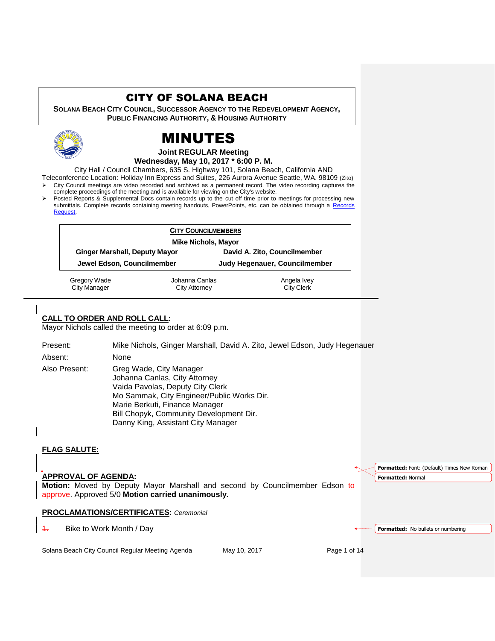## CITY OF SOLANA BEACH

**SOLANA BEACH CITY COUNCIL, SUCCESSOR AGENCY TO THE REDEVELOPMENT AGENCY, PUBLIC FINANCING AUTHORITY, & HOUSING AUTHORITY** 



# MINUTES

#### **Joint REGULAR Meeting Wednesday, May 10, 2017 \* 6:00 P. M.**

City Hall / Council Chambers, 635 S. Highway 101, Solana Beach, California AND

Teleconference Location: Holiday Inn Express and Suites, 226 Aurora Avenue Seattle, WA. 98109 (Zito) City Council meetings are video recorded and archived as a permanent record. The video recording captures the

- complete proceedings of the meeting and is available for viewing on the City's website.
- Posted Reports & Supplemental Docs contain records up to the cut off time prior to meetings for processing new submittals. Complete records containing meeting handouts, PowerPoints, etc. can be obtained through a Records [Request.](http://www.ci.solana-beach.ca.us/index.asp?SEC=F5D45D10-70CE-4291-A27C-7BD633FC6742&Type=B_BASIC)

| <b>CITY COUNCILMEMBERS</b><br><b>Mike Nichols, Mayor</b> |                      |                               |
|----------------------------------------------------------|----------------------|-------------------------------|
|                                                          |                      |                               |
| Jewel Edson, Councilmember                               |                      | Judy Hegenauer, Councilmember |
| Gregory Wade                                             | Johanna Canlas       | Angela Ivey                   |
| City Manager                                             | <b>City Attorney</b> | <b>City Clerk</b>             |

## **CALL TO ORDER AND ROLL CALL:**

Mayor Nichols called the meeting to order at 6:09 p.m.

Present: Mike Nichols, Ginger Marshall, David A. Zito, Jewel Edson, Judy Hegenauer Absent: None Also Present: Greg Wade, City Manager Johanna Canlas, City Attorney Vaida Pavolas, Deputy City Clerk Mo Sammak, City Engineer/Public Works Dir. Marie Berkuti, Finance Manager Bill Chopyk, Community Development Dir. Danny King, Assistant City Manager

## **FLAG SALUTE:**

**APPROVAL OF AGENDA: Motion:** Moved by Deputy Mayor Marshall and second by Councilmember Edson to approve. Approved 5/0 **Motion carried unanimously. PROCLAMATIONS/CERTIFICATES:** *Ceremonial*  1. Bike to Work Month / Day **Formatted:** Font: (Default) Times New Roman **Formatted:** Normal **Formatted:** No bullets or numbering

Solana Beach City Council Regular Meeting Agenda May 10, 2017 Page 1 of 14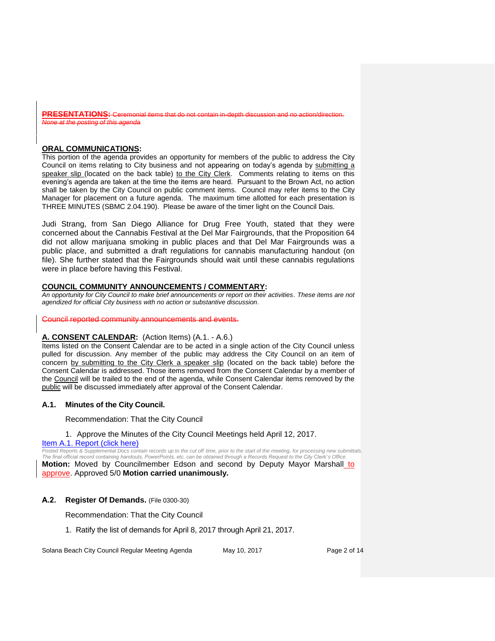**PRESENTATIONS:** Ceremonial items that do not contain in-depth discussion and no action/direction *None at the posting of this agenda*

## **ORAL COMMUNICATIONS:**

This portion of the agenda provides an opportunity for members of the public to address the City Council on items relating to City business and not appearing on today's agenda by submitting a speaker slip (located on the back table) to the City Clerk. Comments relating to items on this evening's agenda are taken at the time the items are heard. Pursuant to the Brown Act, no action shall be taken by the City Council on public comment items. Council may refer items to the City Manager for placement on a future agenda. The maximum time allotted for each presentation is THREE MINUTES (SBMC 2.04.190). Please be aware of the timer light on the Council Dais.

Judi Strang, from San Diego Alliance for Drug Free Youth, stated that they were concerned about the Cannabis Festival at the Del Mar Fairgrounds, that the Proposition 64 did not allow marijuana smoking in public places and that Del Mar Fairgrounds was a public place, and submitted a draft regulations for cannabis manufacturing handout (on file). She further stated that the Fairgrounds should wait until these cannabis regulations were in place before having this Festival.

## **COUNCIL COMMUNITY ANNOUNCEMENTS / COMMENTARY:**

*An opportunity for City Council to make brief announcements or report on their activities. These items are not agendized for official City business with no action or substantive discussion.* 

Council reported community announcements and events.

#### **A. CONSENT CALENDAR:** (Action Items) (A.1. - A.6.)

Items listed on the Consent Calendar are to be acted in a single action of the City Council unless pulled for discussion. Any member of the public may address the City Council on an item of concern by submitting to the City Clerk a speaker slip (located on the back table) before the Consent Calendar is addressed. Those items removed from the Consent Calendar by a member of the Council will be trailed to the end of the agenda, while Consent Calendar items removed by the public will be discussed immediately after approval of the Consent Calendar.

#### **A.1. Minutes of the City Council.**

Recommendation: That the City Council

#### 1. Approve the Minutes of the City Council Meetings held April 12, 2017.

#### [Item A.1. Report \(click here\)](https://solanabeach.govoffice3.com/vertical/Sites/%7B840804C2-F869-4904-9AE3-720581350CE7%7D/uploads/Item_A.1._Report_(click_here)_5-10-17.pdf)

*Posted Reports & Supplemental Docs contain records up to the cut off time, prior to the start of the meeting, for processing new submittals. The final official record containing handouts, PowerPoints, etc. can be obtained through a Records Request to the City Clerk' s Office.* **Motion:** Moved by Councilmember Edson and second by Deputy Mayor Marshall to approve. Approved 5/0 **Motion carried unanimously.**

#### **A.2. Register Of Demands.** (File 0300-30)

Recommendation: That the City Council

1. Ratify the list of demands for April 8, 2017 through April 21, 2017.

Solana Beach City Council Regular Meeting Agenda May 10, 2017 Page 2 of 14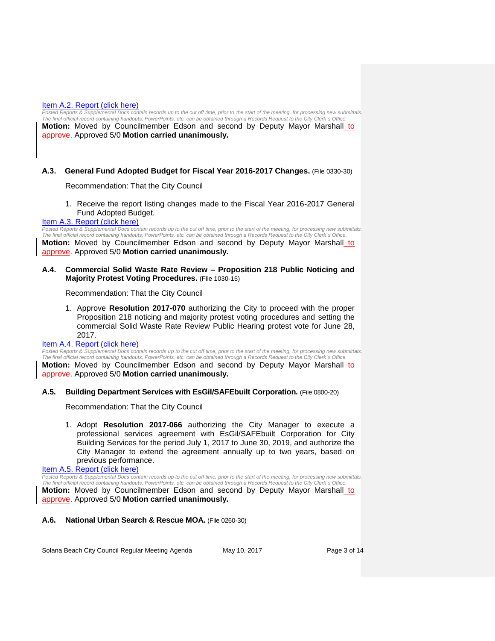#### [Item A.2. Report \(click here\)](https://solanabeach.govoffice3.com/vertical/Sites/%7B840804C2-F869-4904-9AE3-720581350CE7%7D/uploads/Item_A.2._Report_(click_here)_5-10-17.pdf)

Posted Reports & Supplemental Docs contain records up to the cut off time, prior to the start of the meeting, for processing new submittals. *The final official record containing handouts, PowerPoints, etc. can be obtained through a Records Request to the City Clerk' s Office.* **Motion:** Moved by Councilmember Edson and second by Deputy Mayor Marshall to approve. Approved 5/0 **Motion carried unanimously.**

#### **A.3. General Fund Adopted Budget for Fiscal Year 2016-2017 Changes.** (File 0330-30)

Recommendation: That the City Council

1. Receive the report listing changes made to the Fiscal Year 2016-2017 General Fund Adopted Budget.

#### [Item A.3. Report \(click here\)](https://solanabeach.govoffice3.com/vertical/Sites/%7B840804C2-F869-4904-9AE3-720581350CE7%7D/uploads/Item_A.3._Report_(click_here)_5-10-17.pdf)

*Posted Reports & Supplemental Docs contain records up to the cut off time, prior to the start of the meeting, for processing new submittals. The final official record containing handouts, PowerPoints, etc. can be obtained through a Records Request to the City Clerk' s Office.* **Motion:** Moved by Councilmember Edson and second by Deputy Mayor Marshall to

approve. Approved 5/0 **Motion carried unanimously.**

**A.4. Commercial Solid Waste Rate Review – Proposition 218 Public Noticing and Majority Protest Voting Procedures.** (File 1030-15)

Recommendation: That the City Council

1. Approve **Resolution 2017-070** authorizing the City to proceed with the proper Proposition 218 noticing and majority protest voting procedures and setting the commercial Solid Waste Rate Review Public Hearing protest vote for June 28, 2017.

#### [Item A.4. Report \(click here\)](https://solanabeach.govoffice3.com/vertical/Sites/%7B840804C2-F869-4904-9AE3-720581350CE7%7D/uploads/Item_A.4._Report_(click_here)_5-10-17.pdf)

*Posted Reports & Supplemental Docs contain records up to the cut off time, prior to the start of the meeting, for processing new submittals. The final official record containing handouts, PowerPoints, etc. can be obtained through a Records Request to the City Clerk' s Office.* **Motion:** Moved by Councilmember Edson and second by Deputy Mayor Marshall to approve. Approved 5/0 **Motion carried unanimously.**

#### **A.5. Building Department Services with EsGil/SAFEbuilt Corporation.** (File 0800-20)

Recommendation: That the City Council

1. Adopt **Resolution 2017-066** authorizing the City Manager to execute a professional services agreement with EsGil/SAFEbuilt Corporation for City Building Services for the period July 1, 2017 to June 30, 2019, and authorize the City Manager to extend the agreement annually up to two years, based on previous performance.

[Item A.5. Report \(click here\)](https://solanabeach.govoffice3.com/vertical/Sites/%7B840804C2-F869-4904-9AE3-720581350CE7%7D/uploads/Item_A.5._Report_(click_here)_5-10-17.PDF)

*Posted Reports & Supplemental Docs contain records up to the cut off time, prior to the start of the meeting, for processing new submittals. The final official record containing handouts, PowerPoints, etc. can be obtained through a Records Request to the City Clerk' s Office.* **Motion:** Moved by Councilmember Edson and second by Deputy Mayor Marshall to approve. Approved 5/0 **Motion carried unanimously.**

#### **A.6. National Urban Search & Rescue MOA.** (File 0260-30)

Solana Beach City Council Regular Meeting Agenda May 10, 2017 May 10, 2017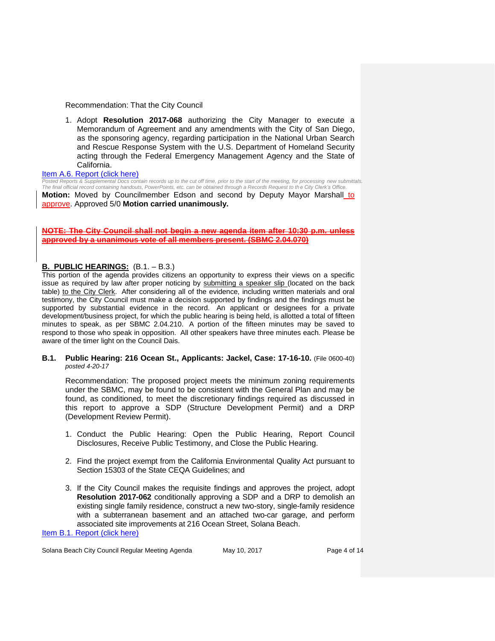#### Recommendation: That the City Council

1. Adopt **Resolution 2017-068** authorizing the City Manager to execute a Memorandum of Agreement and any amendments with the City of San Diego, as the sponsoring agency, regarding participation in the National Urban Search and Rescue Response System with the U.S. Department of Homeland Security acting through the Federal Emergency Management Agency and the State of California.

[Item A.6. Report \(click here\)](https://solanabeach.govoffice3.com/vertical/Sites/%7B840804C2-F869-4904-9AE3-720581350CE7%7D/uploads/Item_A.6._Report_(click_here)_5-10-17.PDF)

*Posted Reports & Supplemental Docs contain records up to the cut off time, prior to the start of the meeting, for processing new submittals. The final official record containing handouts, PowerPoints, etc. can be obtained through a Records Request to the City Clerk's Office.*

**Motion:** Moved by Councilmember Edson and second by Deputy Mayor Marshall to approve. Approved 5/0 **Motion carried unanimously.**

#### **The City Council shall not begin a new agenda item after 10:30 p.m. unless a unanimous vote of all members present. (SBMC 2.04.070)**

## **B. PUBLIC HEARINGS:** (B.1. – B.3.)

This portion of the agenda provides citizens an opportunity to express their views on a specific issue as required by law after proper noticing by submitting a speaker slip (located on the back table) to the City Clerk. After considering all of the evidence, including written materials and oral testimony, the City Council must make a decision supported by findings and the findings must be supported by substantial evidence in the record. An applicant or designees for a private development/business project, for which the public hearing is being held, is allotted a total of fifteen minutes to speak, as per SBMC 2.04.210. A portion of the fifteen minutes may be saved to respond to those who speak in opposition. All other speakers have three minutes each. Please be aware of the timer light on the Council Dais.

**B.1. Public Hearing: 216 Ocean St., Applicants: Jackel, Case: 17-16-10.** (File 0600-40) *posted 4-20-17*

Recommendation: The proposed project meets the minimum zoning requirements under the SBMC, may be found to be consistent with the General Plan and may be found, as conditioned, to meet the discretionary findings required as discussed in this report to approve a SDP (Structure Development Permit) and a DRP (Development Review Permit).

- 1. Conduct the Public Hearing: Open the Public Hearing, Report Council Disclosures, Receive Public Testimony, and Close the Public Hearing.
- 2. Find the project exempt from the California Environmental Quality Act pursuant to Section 15303 of the State CEQA Guidelines; and
- 3. If the City Council makes the requisite findings and approves the project, adopt **Resolution 2017-062** conditionally approving a SDP and a DRP to demolish an existing single family residence, construct a new two-story, single-family residence with a subterranean basement and an attached two-car garage, and perform associated site improvements at 216 Ocean Street, Solana Beach.

[Item B.1. Report \(click here\)](https://solanabeach.govoffice3.com/vertical/Sites/%7B840804C2-F869-4904-9AE3-720581350CE7%7D/uploads/Item_B.1._Report_(click_here)_5-10-2017_-_R.pdf)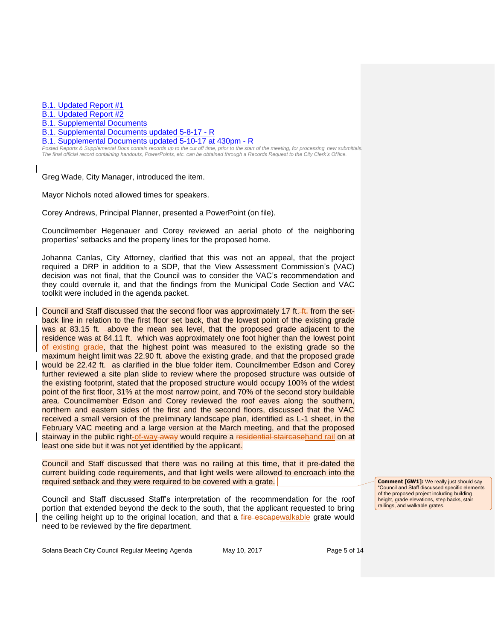[B.1. Updated Report #1](https://solanabeach.govoffice3.com/vertical/Sites/%7B840804C2-F869-4904-9AE3-720581350CE7%7D/uploads/B.1._Updated_Report__1_-_5-10-17.pdf)

[B.1. Updated Report #2](https://solanabeach.govoffice3.com/vertical/Sites/%7B840804C2-F869-4904-9AE3-720581350CE7%7D/uploads/B.1._Updated_Report__2_-_5-10-17.pdf)

[B.1. Supplemental Documents](https://solanabeach.govoffice3.com/vertical/Sites/%7B840804C2-F869-4904-9AE3-720581350CE7%7D/uploads/B.1._Supplemental_Documents_-_5-2-17_.pdf)

[B.1. Supplemental Documents updated 5-8-17 -](https://solanabeach.govoffice3.com/vertical/Sites/%7B840804C2-F869-4904-9AE3-720581350CE7%7D/uploads/B.1._Supplemental_Documents_5-8-17_-_R_.pdf) R

[B.1. Supplemental Documents updated 5-10-17](https://solanabeach.govoffice3.com/vertical/Sites/%7B840804C2-F869-4904-9AE3-720581350CE7%7D/uploads/B.1._Supplemental_Documents_updated_5-10-17_at_430pm_-_R_.pdf) at 430pm - R

*Posted Reports & Supplemental Docs contain records up to the cut off time, prior to the start of the meeting, for processing new submittals. The final official record containing handouts, PowerPoints, etc. can be obtained through a Records Request to the City Clerk's Of fice.*

Greg Wade, City Manager, introduced the item.

Mayor Nichols noted allowed times for speakers.

Corey Andrews, Principal Planner, presented a PowerPoint (on file).

Councilmember Hegenauer and Corey reviewed an aerial photo of the neighboring properties' setbacks and the property lines for the proposed home.

Johanna Canlas, City Attorney, clarified that this was not an appeal, that the project required a DRP in addition to a SDP, that the View Assessment Commission's (VAC) decision was not final, that the Council was to consider the VAC's recommendation and they could overrule it, and that the findings from the Municipal Code Section and VAC toolkit were included in the agenda packet.

Council and Staff discussed that the second floor was approximately 17 ft. <sup>44</sup> from the setback line in relation to the first floor set back, that the lowest point of the existing grade was at 83.15 ft. -above the mean sea level, that the proposed grade adjacent to the residence was at 84.11 ft. -which was approximately one foot higher than the lowest point of existing grade, that the highest point was measured to the existing grade so the maximum height limit was 22.90 ft. above the existing grade, and that the proposed grade would be 22.42 ft.- as clarified in the blue folder item. Councilmember Edson and Corey further reviewed a site plan slide to review where the proposed structure was outside of the existing footprint, stated that the proposed structure would occupy 100% of the widest point of the first floor, 31% at the most narrow point, and 70% of the second story buildable area. Councilmember Edson and Corey reviewed the roof eaves along the southern, northern and eastern sides of the first and the second floors, discussed that the VAC received a small version of the preliminary landscape plan, identified as L-1 sheet, in the February VAC meeting and a large version at the March meeting, and that the proposed stairway in the public right-of-way-away would require a residential staircasehand rail on at least one side but it was not yet identified by the applicant.

Council and Staff discussed that there was no railing at this time, that it pre-dated the current building code requirements, and that light wells were allowed to encroach into the required setback and they were required to be covered with a grate.

Council and Staff discussed Staff's interpretation of the recommendation for the roof portion that extended beyond the deck to the south, that the applicant requested to bring the ceiling height up to the original location, and that a fire escapewalkable grate would need to be reviewed by the fire department.

**Comment [GW1]:** We really just should say "Council and Staff discussed specific elements of the proposed project including building height, grade elevations, step backs, stair railings, and walkable grates.

Solana Beach City Council Regular Meeting Agenda May 10, 2017 Page 5 of 14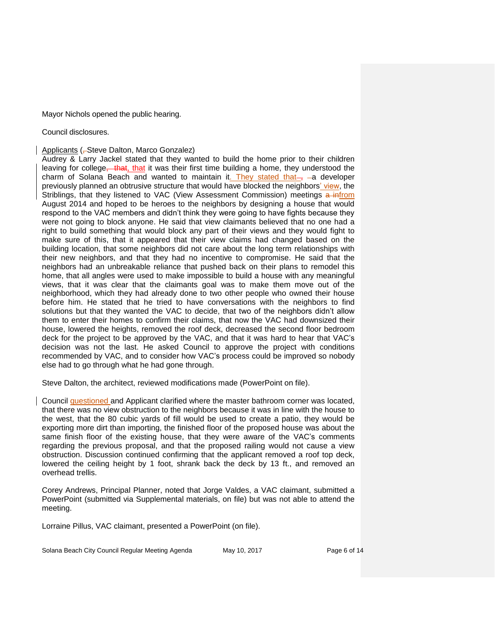Mayor Nichols opened the public hearing.

Council disclosures.

Applicants (-Steve Dalton, Marco Gonzalez)

Audrey & Larry Jackel stated that they wanted to build the home prior to their children leaving for college, that, that it was their first time building a home, they understood the charm of Solana Beach and wanted to maintain it. They stated that- $\frac{1}{2}$  -a developer previously planned an obtrusive structure that would have blocked the neighbors' view, the Striblings, that they listened to VAC (View Assessment Commission) meetings a infrom August 2014 and hoped to be heroes to the neighbors by designing a house that would respond to the VAC members and didn't think they were going to have fights because they were not going to block anyone. He said that view claimants believed that no one had a right to build something that would block any part of their views and they would fight to make sure of this, that it appeared that their view claims had changed based on the building location, that some neighbors did not care about the long term relationships with their new neighbors, and that they had no incentive to compromise. He said that the neighbors had an unbreakable reliance that pushed back on their plans to remodel this home, that all angles were used to make impossible to build a house with any meaningful views, that it was clear that the claimants goal was to make them move out of the neighborhood, which they had already done to two other people who owned their house before him. He stated that he tried to have conversations with the neighbors to find solutions but that they wanted the VAC to decide, that two of the neighbors didn't allow them to enter their homes to confirm their claims, that now the VAC had downsized their house, lowered the heights, removed the roof deck, decreased the second floor bedroom deck for the project to be approved by the VAC, and that it was hard to hear that VAC's decision was not the last. He asked Council to approve the project with conditions recommended by VAC, and to consider how VAC's process could be improved so nobody else had to go through what he had gone through.

Steve Dalton, the architect, reviewed modifications made (PowerPoint on file).

Council questioned and Applicant clarified where the master bathroom corner was located, that there was no view obstruction to the neighbors because it was in line with the house to the west, that the 80 cubic yards of fill would be used to create a patio, they would be exporting more dirt than importing, the finished floor of the proposed house was about the same finish floor of the existing house, that they were aware of the VAC's comments regarding the previous proposal, and that the proposed railing would not cause a view obstruction. Discussion continued confirming that the applicant removed a roof top deck, lowered the ceiling height by 1 foot, shrank back the deck by 13 ft., and removed an overhead trellis.

Corey Andrews, Principal Planner, noted that Jorge Valdes, a VAC claimant, submitted a PowerPoint (submitted via Supplemental materials, on file) but was not able to attend the meeting.

Lorraine Pillus, VAC claimant, presented a PowerPoint (on file).

Solana Beach City Council Regular Meeting Agenda May 10, 2017 Page 6 of 14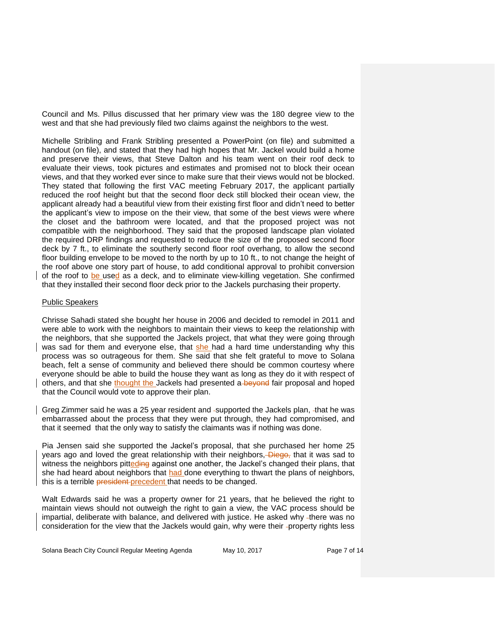Council and Ms. Pillus discussed that her primary view was the 180 degree view to the west and that she had previously filed two claims against the neighbors to the west.

Michelle Stribling and Frank Stribling presented a PowerPoint (on file) and submitted a handout (on file), and stated that they had high hopes that Mr. Jackel would build a home and preserve their views, that Steve Dalton and his team went on their roof deck to evaluate their views, took pictures and estimates and promised not to block their ocean views, and that they worked ever since to make sure that their views would not be blocked. They stated that following the first VAC meeting February 2017, the applicant partially reduced the roof height but that the second floor deck still blocked their ocean view, the applicant already had a beautiful view from their existing first floor and didn't need to better the applicant's view to impose on the their view, that some of the best views were where the closet and the bathroom were located, and that the proposed project was not compatible with the neighborhood. They said that the proposed landscape plan violated the required DRP findings and requested to reduce the size of the proposed second floor deck by 7 ft., to eliminate the southerly second floor roof overhang, to allow the second floor building envelope to be moved to the north by up to 10 ft., to not change the height of the roof above one story part of house, to add conditional approval to prohibit conversion of the roof to be used as a deck, and to eliminate view-killing vegetation. She confirmed that they installed their second floor deck prior to the Jackels purchasing their property.

#### Public Speakers

Chrisse Sahadi stated she bought her house in 2006 and decided to remodel in 2011 and were able to work with the neighbors to maintain their views to keep the relationship with the neighbors, that she supported the Jackels project, that what they were going through was sad for them and everyone else, that she had a hard time understanding why this process was so outrageous for them. She said that she felt grateful to move to Solana beach, felt a sense of community and believed there should be common courtesy where everyone should be able to build the house they want as long as they do it with respect of others, and that she thought the Jackels had presented a beyond fair proposal and hoped that the Council would vote to approve their plan.

Greg Zimmer said he was a 25 year resident and -supported the Jackels plan, -that he was embarrassed about the process that they were put through, they had compromised, and that it seemed that the only way to satisfy the claimants was if nothing was done.

Pia Jensen said she supported the Jackel's proposal, that she purchased her home 25 years ago and loved the great relationship with their neighbors, Diego, that it was sad to witness the neighbors pitteding against one another, the Jackel's changed their plans, that she had heard about neighbors that had done everything to thwart the plans of neighbors, this is a terrible president precedent that needs to be changed.

Walt Edwards said he was a property owner for 21 years, that he believed the right to maintain views should not outweigh the right to gain a view, the VAC process should be impartial, deliberate with balance, and delivered with justice. He asked why -there was no consideration for the view that the Jackels would gain, why were their -property rights less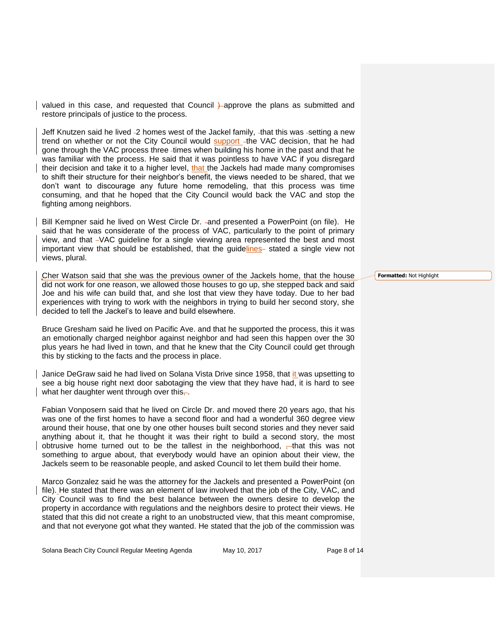valued in this case, and requested that Council *H*-approve the plans as submitted and restore principals of justice to the process.

Jeff Knutzen said he lived -2 homes west of the Jackel family, -that this was -setting a new trend on whether or not the City Council would support -the VAC decision, that he had gone through the VAC process three -times when building his home in the past and that he was familiar with the process. He said that it was pointless to have VAC if you disregard their decision and take it to a higher level, that the Jackels had made many compromises to shift their structure for their neighbor's benefit, the views needed to be shared, that we don't want to discourage any future home remodeling, that this process was time consuming, and that he hoped that the City Council would back the VAC and stop the fighting among neighbors.

Bill Kempner said he lived on West Circle Dr. and presented a PowerPoint (on file). He said that he was considerate of the process of VAC, particularly to the point of primary view, and that VAC guideline for a single viewing area represented the best and most important view that should be established, that the guidelines stated a single view not views, plural.

Cher Watson said that she was the previous owner of the Jackels home, that the house did not work for one reason, we allowed those houses to go up, she stepped back and said Joe and his wife can build that, and she lost that view they have today. Due to her bad experiences with trying to work with the neighbors in trying to build her second story, she decided to tell the Jackel's to leave and build elsewhere.

Bruce Gresham said he lived on Pacific Ave. and that he supported the process, this it was an emotionally charged neighbor against neighbor and had seen this happen over the 30 plus years he had lived in town, and that he knew that the City Council could get through this by sticking to the facts and the process in place.

Janice DeGraw said he had lived on Solana Vista Drive since 1958, that it was upsetting to see a big house right next door sabotaging the view that they have had, it is hard to see what her daughter went through over this $\frac{1}{x}$ .

Fabian Vonposern said that he lived on Circle Dr. and moved there 20 years ago, that his was one of the first homes to have a second floor and had a wonderful 360 degree view around their house, that one by one other houses built second stories and they never said anything about it, that he thought it was their right to build a second story, the most obtrusive home turned out to be the tallest in the neighborhood,  $-$ that this was not something to argue about, that everybody would have an opinion about their view, the Jackels seem to be reasonable people, and asked Council to let them build their home.

Marco Gonzalez said he was the attorney for the Jackels and presented a PowerPoint (on file). He stated that there was an element of law involved that the job of the City, VAC, and City Council was to find the best balance between the owners desire to develop the property in accordance with regulations and the neighbors desire to protect their views. He stated that this did not create a right to an unobstructed view, that this meant compromise, and that not everyone got what they wanted. He stated that the job of the commission was

**Formatted:** Not Highlight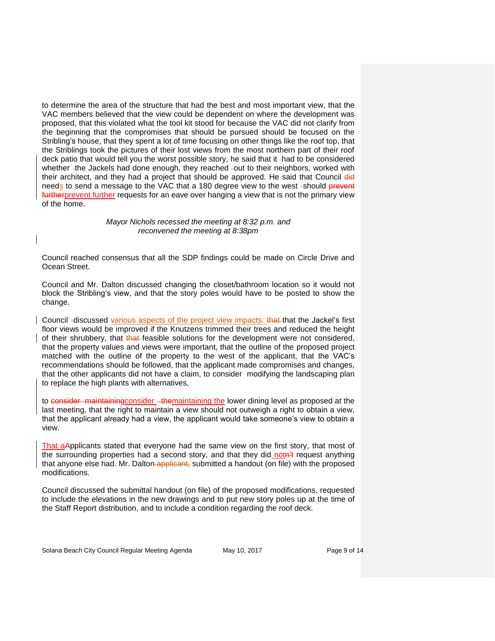to determine the area of the structure that had the best and most important view, that the VAC members believed that the view could be dependent on where the development was proposed, that this violated what the tool kit stood for because the VAC did not clarify from the beginning that the compromises that should be pursued should be focused on the Stribling's house, that they spent a lot of time focusing on other things like the roof top, that the Striblings took the pictures of their lost views from the most northern part of their roof deck patio that would tell you the worst possible story, he said that it -had to be considered whether -the Jackels had done enough, they reached -out to their neighbors, worked with their architect, and they had a project that should be approved. He said that Council did needs to send a message to the VAC that a 180 degree view to the west -should prevent furtherprevent further requests for an eave over hanging a view that is not the primary view of the home.

#### *Mayor Nichols recessed the meeting at 8:32 p.m. and reconvened the meeting at 8:38pm*

Council reached consensus that all the SDP findings could be made on Circle Drive and Ocean Street.

Council and Mr. Dalton discussed changing the closet/bathroom location so it would not block the Stribling's view, and that the story poles would have to be posted to show the change.

Council -discussed various aspects of the project view impacts: that the Jackel's first floor views would be improved if the Knutzens trimmed their trees and reduced the height of their shrubbery, that that feasible solutions for the development were not considered, that the property values and views were important, that the outline of the proposed project matched with the outline of the property to the west of the applicant, that the VAC's recommendations should be followed, that the applicant made compromises and changes, that the other applicants did not have a claim, to consider modifying the landscaping plan to replace the high plants with alternatives,

to consider maintainingconsider - the maintaining the lower dining level as proposed at the last meeting, that the right to maintain a view should not outweigh a right to obtain a view, that the applicant already had a view, the applicant would take someone's view to obtain a view.

That aApplicants stated that everyone had the same view on the first story, that most of the surrounding properties had a second story, and that they did notn't request anything that anyone else had. Mr. Dalton-applicant, submitted a handout (on file) with the proposed modifications.

Council discussed the submittal handout (on file) of the proposed modifications, requested to include the elevations in the new drawings and to put new story poles up at the time of the Staff Report distribution, and to include a condition regarding the roof deck.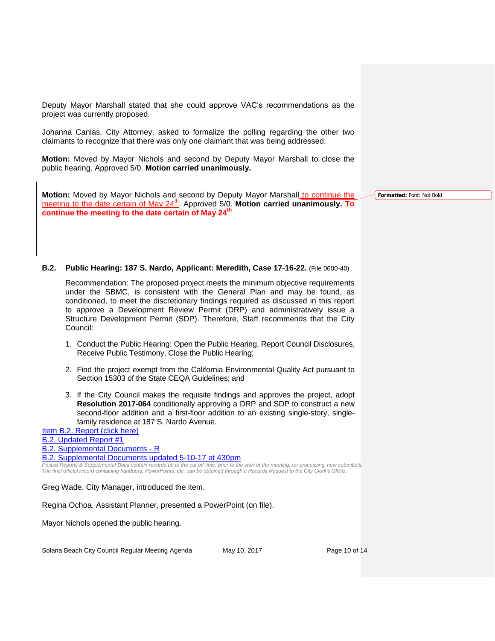Deputy Mayor Marshall stated that she could approve VAC's recommendations as the project was currently proposed.

Johanna Canlas, City Attorney, asked to formalize the polling regarding the other two claimants to recognize that there was only one claimant that was being addressed.

**Motion:** Moved by Mayor Nichols and second by Deputy Mayor Marshall to close the public hearing. Approved 5/0. **Motion carried unanimously.**

**Motion:** Moved by Mayor Nichols and second by Deputy Mayor Marshall to continue the meeting to the date certain of May 24<sup>th</sup>. Approved 5/0. **Motion carried unanimously.** To **continue the meeting to the date certain of May 24th**

**Formatted:** Font: Not Bold

#### **B.2. Public Hearing: 187 S. Nardo, Applicant: Meredith, Case 17-16-22.** (File 0600-40)

Recommendation: The proposed project meets the minimum objective requirements under the SBMC, is consistent with the General Plan and may be found, as conditioned, to meet the discretionary findings required as discussed in this report to approve a Development Review Permit (DRP) and administratively issue a Structure Development Permit (SDP). Therefore, Staff recommends that the City Council:

- 1. Conduct the Public Hearing: Open the Public Hearing, Report Council Disclosures, Receive Public Testimony, Close the Public Hearing;
- 2. Find the project exempt from the California Environmental Quality Act pursuant to Section 15303 of the State CEQA Guidelines; and
- 3. If the City Council makes the requisite findings and approves the project, adopt **Resolution 2017-064** conditionally approving a DRP and SDP to construct a new second-floor addition and a first-floor addition to an existing single-story, singlefamily residence at 187 S. Nardo Avenue.

[Item B.2. Report \(click here\)](https://solanabeach.govoffice3.com/vertical/Sites/%7B840804C2-F869-4904-9AE3-720581350CE7%7D/uploads/Item_B.2._Report_(click_here)_5-10-17.PDF)

[B.2. Updated Report #1](https://solanabeach.govoffice3.com/vertical/Sites/%7B840804C2-F869-4904-9AE3-720581350CE7%7D/uploads/B.2._Updated_Report__1_-_5-10-17.pdf)

- [B.2. Supplemental Documents -](https://solanabeach.govoffice3.com/vertical/Sites/%7B840804C2-F869-4904-9AE3-720581350CE7%7D/uploads/B.2._Supplemental_Documents_updated_5-9_at_230pm_-_R.pdf) R
- [B.2. Supplemental Documents updated 5-10-17 at 430pm](https://solanabeach.govoffice3.com/vertical/Sites/%7B840804C2-F869-4904-9AE3-720581350CE7%7D/uploads/B.2._Supplemental_Documents_5-10-17_(4300pm)_-_R.pdf)

*Posted Reports & Supplemental Docs contain records up to the cut off time, prior to the start of the meeting, for processing new submittals. The final official record containing handouts, PowerPoints, etc. can be obtained through a Records Request to the City Clerk's Office.*

Greg Wade, City Manager, introduced the item.

Regina Ochoa, Assistant Planner, presented a PowerPoint (on file).

Mayor Nichols opened the public hearing.

Solana Beach City Council Regular Meeting Agenda May 10, 2017 The Mage 10 of 14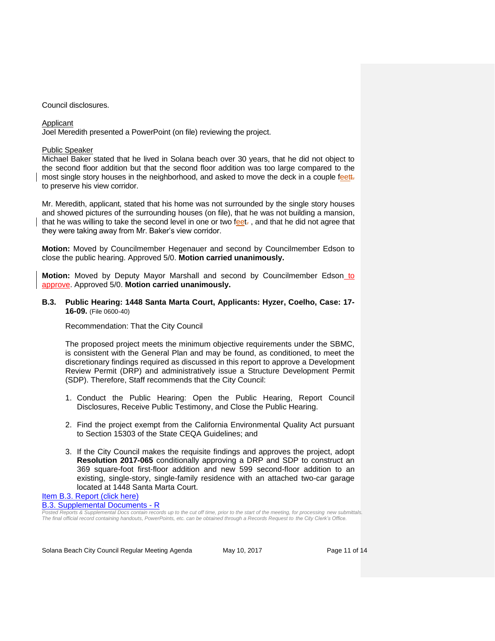#### Council disclosures.

#### Applicant

Joel Meredith presented a PowerPoint (on file) reviewing the project.

#### Public Speaker

Michael Baker stated that he lived in Solana beach over 30 years, that he did not object to the second floor addition but that the second floor addition was too large compared to the most single story houses in the neighborhood, and asked to move the deck in a couple feett. to preserve his view corridor.

Mr. Meredith, applicant, stated that his home was not surrounded by the single story houses and showed pictures of the surrounding houses (on file), that he was not building a mansion, that he was willing to take the second level in one or two feet., and that he did not agree that they were taking away from Mr. Baker's view corridor.

**Motion:** Moved by Councilmember Hegenauer and second by Councilmember Edson to close the public hearing. Approved 5/0. **Motion carried unanimously.** 

**Motion:** Moved by Deputy Mayor Marshall and second by Councilmember Edson to approve. Approved 5/0. **Motion carried unanimously.** 

#### **B.3. Public Hearing: 1448 Santa Marta Court, Applicants: Hyzer, Coelho, Case: 17- 16-09.** (File 0600-40)

#### Recommendation: That the City Council

The proposed project meets the minimum objective requirements under the SBMC, is consistent with the General Plan and may be found, as conditioned, to meet the discretionary findings required as discussed in this report to approve a Development Review Permit (DRP) and administratively issue a Structure Development Permit (SDP). Therefore, Staff recommends that the City Council:

- 1. Conduct the Public Hearing: Open the Public Hearing, Report Council Disclosures, Receive Public Testimony, and Close the Public Hearing.
- 2. Find the project exempt from the California Environmental Quality Act pursuant to Section 15303 of the State CEQA Guidelines; and
- 3. If the City Council makes the requisite findings and approves the project, adopt **Resolution 2017-065** conditionally approving a DRP and SDP to construct an 369 square-foot first-floor addition and new 599 second-floor addition to an existing, single-story, single-family residence with an attached two-car garage located at 1448 Santa Marta Court.

[Item B.3. Report \(click here\)](https://solanabeach.govoffice3.com/vertical/Sites/%7B840804C2-F869-4904-9AE3-720581350CE7%7D/uploads/Item_B.3._Report_(click_here)_5-10-17.PDF)

[B.3. Supplemental Documents -](https://solanabeach.govoffice3.com/vertical/Sites/%7B840804C2-F869-4904-9AE3-720581350CE7%7D/uploads/B.3._Supplemental_Documents_5-10-17.pdf) R

*Posted Reports & Supplemental Docs contain records up to the cut off time, prior to the start of the meeting, for processing new submittals. The final official record containing handouts, PowerPoints, etc. can be obtained through a Records Request to the City Clerk's Office.*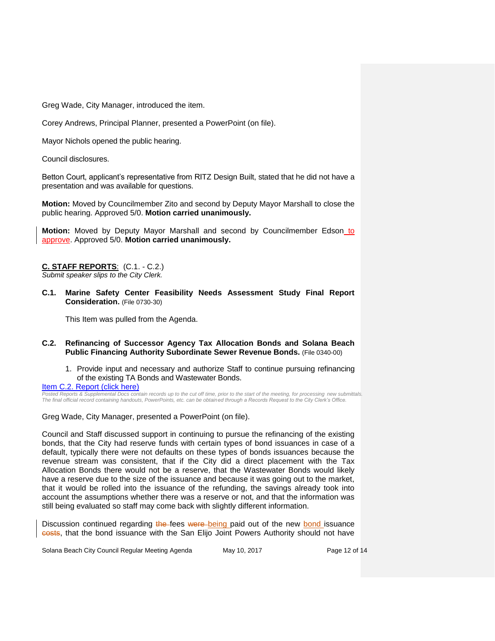Greg Wade, City Manager, introduced the item.

Corey Andrews, Principal Planner, presented a PowerPoint (on file).

Mayor Nichols opened the public hearing.

Council disclosures.

Betton Court, applicant's representative from RITZ Design Built, stated that he did not have a presentation and was available for questions.

**Motion:** Moved by Councilmember Zito and second by Deputy Mayor Marshall to close the public hearing. Approved 5/0. **Motion carried unanimously.**

**Motion:** Moved by Deputy Mayor Marshall and second by Councilmember Edson to approve. Approved 5/0. **Motion carried unanimously.** 

**C. STAFF REPORTS**: (C.1. - C.2.) *Submit speaker slips to the City Clerk.*

**C.1. Marine Safety Center Feasibility Needs Assessment Study Final Report Consideration.** (File 0730-30)

This Item was pulled from the Agenda.

- **C.2. Refinancing of Successor Agency Tax Allocation Bonds and Solana Beach Public Financing Authority Subordinate Sewer Revenue Bonds.** (File 0340-00)
	- 1. Provide input and necessary and authorize Staff to continue pursuing refinancing of the existing TA Bonds and Wastewater Bonds.

[Item C.2. Report \(click here\)](https://solanabeach.govoffice3.com/vertical/Sites/%7B840804C2-F869-4904-9AE3-720581350CE7%7D/uploads/Item_C.2._Report_(click_here)_5-10-17.pdf)

*Posted Reports & Supplemental Docs contain records up to the cut off time, prior to the start of the meeting, for processing new submittals. The final official record containing handouts, PowerPoints, etc. can be obtained through a Records Request to the City Clerk's Office.*

Greg Wade, City Manager, presented a PowerPoint (on file).

Council and Staff discussed support in continuing to pursue the refinancing of the existing bonds, that the City had reserve funds with certain types of bond issuances in case of a default, typically there were not defaults on these types of bonds issuances because the revenue stream was consistent, that if the City did a direct placement with the Tax Allocation Bonds there would not be a reserve, that the Wastewater Bonds would likely have a reserve due to the size of the issuance and because it was going out to the market, that it would be rolled into the issuance of the refunding, the savings already took into account the assumptions whether there was a reserve or not, and that the information was still being evaluated so staff may come back with slightly different information.

Discussion continued regarding the fees were being paid out of the new bond issuance costs, that the bond issuance with the San Elijo Joint Powers Authority should not have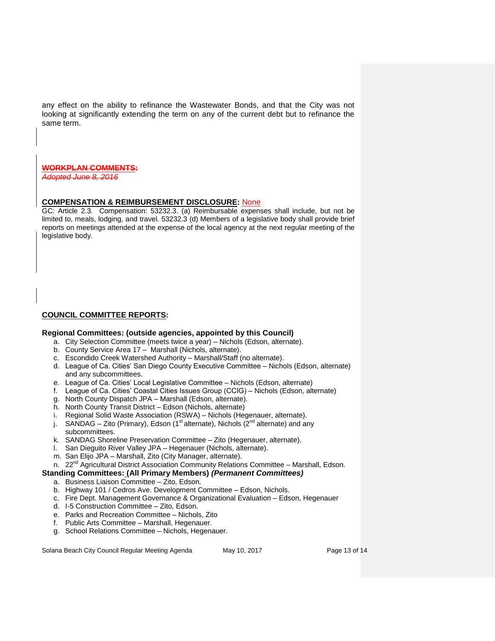any effect on the ability to refinance the Wastewater Bonds, and that the City was not looking at significantly extending the term on any of the current debt but to refinance the same term.

#### **WORKPLAN COMMENTS:**

*Adopted June 8, 2016*

#### **COMPENSATION & REIMBURSEMENT DISCLOSURE:** None

GC: Article 2.3. Compensation: 53232.3. (a) Reimbursable expenses shall include, but not be limited to, meals, lodging, and travel. 53232.3 (d) Members of a legislative body shall provide brief reports on meetings attended at the expense of the local agency at the next regular meeting of the legislative body.

#### **COUNCIL COMMITTEE REPORTS:**

#### **Regional Committees: (outside agencies, appointed by this Council)**

- a. City Selection Committee (meets twice a year) Nichols (Edson, alternate).
- b. County Service Area 17 Marshall (Nichols, alternate).
- c. Escondido Creek Watershed Authority Marshall/Staff (no alternate).
- d. League of Ca. Cities' San Diego County Executive Committee Nichols (Edson, alternate) and any subcommittees.
- e. League of Ca. Cities' Local Legislative Committee Nichols (Edson, alternate)
- f. League of Ca. Cities' Coastal Cities Issues Group (CCIG) Nichols (Edson, alternate)
- g. North County Dispatch JPA Marshall (Edson, alternate).
- h. North County Transit District Edson (Nichols, alternate)
- i. Regional Solid Waste Association (RSWA) Nichols (Hegenauer, alternate).
- j. SANDAG Zito (Primary), Edson (1<sup>st</sup> alternate), Nichols ( $2^{nd}$  alternate) and any subcommittees.
- k. SANDAG Shoreline Preservation Committee Zito (Hegenauer, alternate).
- l. San Dieguito River Valley JPA Hegenauer (Nichols, alternate).
- m. San Elijo JPA Marshall, Zito (City Manager, alternate).
- n. 22<sup>nd</sup> Agricultural District Association Community Relations Committee Marshall, Edson.

#### **Standing Committees: (All Primary Members)** *(Permanent Committees)*

- a. Business Liaison Committee Zito, Edson.
- b. Highway 101 / Cedros Ave. Development Committee Edson, Nichols.
- c. Fire Dept. Management Governance & Organizational Evaluation Edson, Hegenauer
- d. I-5 Construction Committee Zito, Edson.
- e. Parks and Recreation Committee Nichols, Zito
- f. Public Arts Committee Marshall, Hegenauer.
- g. School Relations Committee Nichols, Hegenauer.

Solana Beach City Council Regular Meeting Agenda May 10, 2017 Page 13 of 14